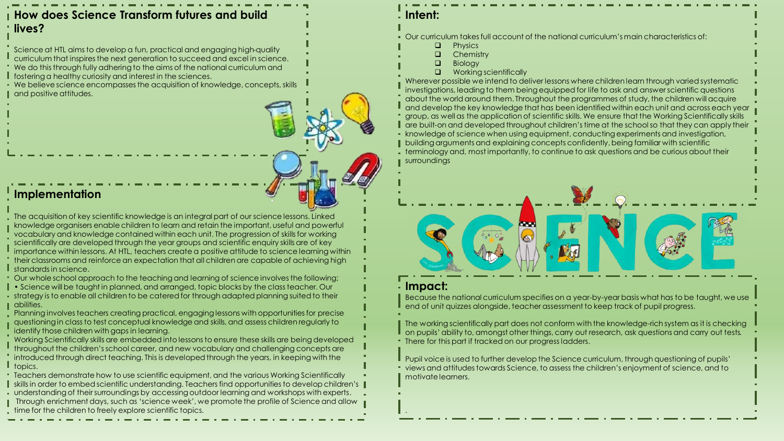### **How does Science Transform futures and build lives?**

Science at HTL aims to develop a fun, practical and engaging high-quality curriculum that inspires the next generation to succeed and excel in science. We do this through fully adhering to the aims of the national curriculum and **f** fostering a healthy curiosity and interest in the sciences.

We believe science encompasses the acquisition of knowledge, concepts, skills  $\blacksquare$  and positive attitudes.

#### **Implementation**

The acquisition of key scientific knowledge is an integral part of our science lessons. Linked knowledge organisers enable children to learn and retain the important, useful and powerful vocabulary and knowledge contained within each unit. The progression of skills for working scientifically are developed through the year groups and scientific enquiry skills are of key importance within lessons. At HTL, teachers create a positive attitude to science learning within their classrooms and reinforce an expectation that all children are capable of achieving high **I** standards in science.

Our whole school approach to the teaching and learning of science involves the following;

• Science will be taught in planned, and arranged, topic blocks by the class teacher. Our strategy is to enable all children to be catered for through adapted planning suited to their

abilities. Planning involves teachers creating practical, engaging lessons with opportunities for precise questioning in class to test conceptual knowledge and skills, and assess children regularly to identify those children with gaps in learning.

Working Scientifically skills are embedded into lessons to ensure these skills are being developed throughout the children's school career, and new vocabulary and challenging concepts are introduced through direct teaching. This is developed through the years, in keeping with the I topics.

Teachers demonstrate how to use scientific equipment, and the various Working Scientifically skills in order to embed scientific understanding. Teachers find opportunities to develop children's understanding of their surroundings by accessing outdoor learning and workshops with experts. **I** Through enrichment days, such as 'science week', we promote the profile of Science and allow time for the children to freely explore scientific topics.

#### **Intent:**

Our curriculum takes full account of the national curriculum's main characteristics of:

43

- $\Box$  Physics
- **Q** Chemistry
- $\Box$  Biology **Q** Working scientifically

Wherever possible we intend to deliver lessons where children learn through varied systematic investigations, leading to them being equipped for life to ask and answer scientific questions about the world around them. Throughout the programmes of study, the children will acquire and develop the key knowledge that has been identified within each unit and across each year group, as well as the application of scientific skills. We ensure that the Working Scientifically skills are built-on and developed throughout children's time at the school so that they can apply their knowledge of science when using equipment, conducting experiments and investigation, **I** building arguments and explaining concepts confidently, being familiar with scientific terminology and, most importantly, to continue to ask questions and be curious about their surroundings

# **Impact:**

.

Because the national curriculum specifies on a year-by-year basis what has to be taught, we use end of unit quizzes alongside, teacher assessment to keep track of pupil progress.

The working scientifically part does not conform with the knowledge-rich system as it is checking on pupils' ability to, amongst other things, carry out research, ask questions and carry out tests. There for this part if tracked on our progress ladders.

Pupil voice is used to further develop the Science curriculum, through questioning of pupils' views and attitudes towards Science, to assess the children's enjoyment of science, and to motivate learners.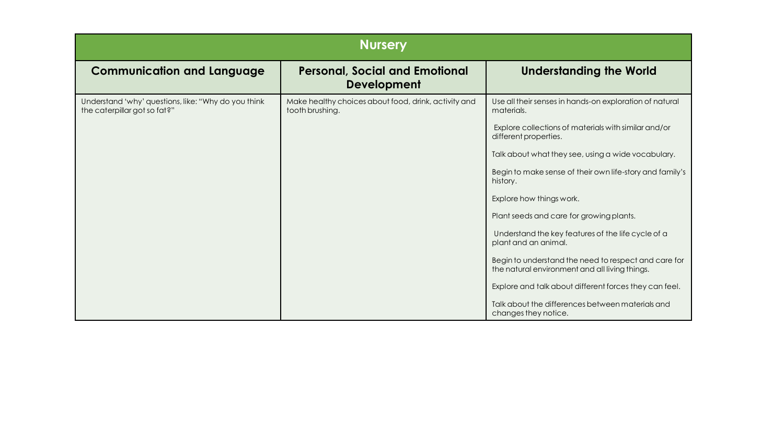| <b>Nursery</b>                                                                      |                                                                         |                                                                                                                                                                                                                                                                                                                                                                                                                                                                                                                                                                                                                                                                    |  |  |  |  |  |
|-------------------------------------------------------------------------------------|-------------------------------------------------------------------------|--------------------------------------------------------------------------------------------------------------------------------------------------------------------------------------------------------------------------------------------------------------------------------------------------------------------------------------------------------------------------------------------------------------------------------------------------------------------------------------------------------------------------------------------------------------------------------------------------------------------------------------------------------------------|--|--|--|--|--|
| <b>Communication and Language</b>                                                   | <b>Personal, Social and Emotional</b><br><b>Development</b>             | <b>Understanding the World</b>                                                                                                                                                                                                                                                                                                                                                                                                                                                                                                                                                                                                                                     |  |  |  |  |  |
| Understand 'why' questions, like: "Why do you think<br>the caterpillar got so fat?" | Make healthy choices about food, drink, activity and<br>tooth brushing. | Use all their senses in hands-on exploration of natural<br>materials.<br>Explore collections of materials with similar and/or<br>different properties.<br>Talk about what they see, using a wide vocabulary.<br>Begin to make sense of their own life-story and family's<br>history.<br>Explore how things work.<br>Plant seeds and care for growing plants.<br>Understand the key features of the life cycle of a<br>plant and an animal.<br>Begin to understand the need to respect and care for<br>the natural environment and all living things.<br>Explore and talk about different forces they can feel.<br>Talk about the differences between materials and |  |  |  |  |  |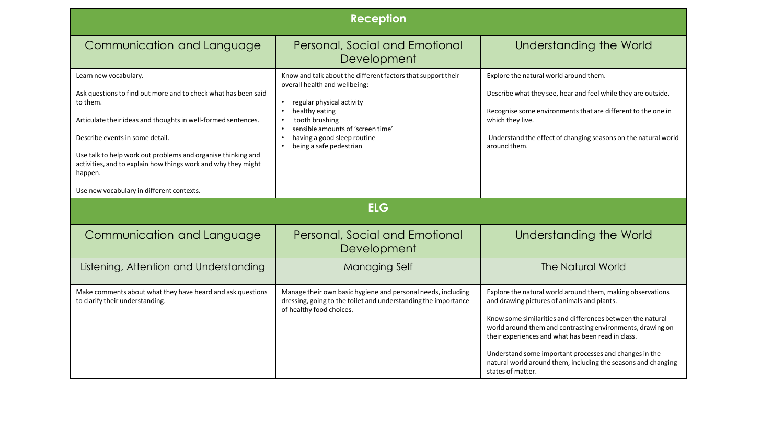| <b>Reception</b>                                                                                                                                                                                                                                                                                                                                                                                 |                                                                                                                                                                                                                                                               |                                                                                                                                                                                                                                                                                                                                                                                                                                             |  |  |  |  |  |
|--------------------------------------------------------------------------------------------------------------------------------------------------------------------------------------------------------------------------------------------------------------------------------------------------------------------------------------------------------------------------------------------------|---------------------------------------------------------------------------------------------------------------------------------------------------------------------------------------------------------------------------------------------------------------|---------------------------------------------------------------------------------------------------------------------------------------------------------------------------------------------------------------------------------------------------------------------------------------------------------------------------------------------------------------------------------------------------------------------------------------------|--|--|--|--|--|
| Communication and Language                                                                                                                                                                                                                                                                                                                                                                       | Personal, Social and Emotional<br>Development                                                                                                                                                                                                                 | Understanding the World                                                                                                                                                                                                                                                                                                                                                                                                                     |  |  |  |  |  |
| Learn new vocabulary.<br>Ask questions to find out more and to check what has been said<br>to them.<br>Articulate their ideas and thoughts in well-formed sentences.<br>Describe events in some detail.<br>Use talk to help work out problems and organise thinking and<br>activities, and to explain how things work and why they might<br>happen.<br>Use new vocabulary in different contexts. | Know and talk about the different factors that support their<br>overall health and wellbeing:<br>regular physical activity<br>healthy eating<br>tooth brushing<br>sensible amounts of 'screen time'<br>having a good sleep routine<br>being a safe pedestrian | Explore the natural world around them.<br>Describe what they see, hear and feel while they are outside.<br>Recognise some environments that are different to the one in<br>which they live.<br>Understand the effect of changing seasons on the natural world<br>around them.                                                                                                                                                               |  |  |  |  |  |
| <b>ELG</b>                                                                                                                                                                                                                                                                                                                                                                                       |                                                                                                                                                                                                                                                               |                                                                                                                                                                                                                                                                                                                                                                                                                                             |  |  |  |  |  |
| Communication and Language                                                                                                                                                                                                                                                                                                                                                                       | Personal, Social and Emotional<br>Development                                                                                                                                                                                                                 | Understanding the World                                                                                                                                                                                                                                                                                                                                                                                                                     |  |  |  |  |  |
| Listening, Attention and Understanding                                                                                                                                                                                                                                                                                                                                                           | <b>Managing Self</b>                                                                                                                                                                                                                                          | <b>The Natural World</b>                                                                                                                                                                                                                                                                                                                                                                                                                    |  |  |  |  |  |
| Make comments about what they have heard and ask questions<br>to clarify their understanding.                                                                                                                                                                                                                                                                                                    | Manage their own basic hygiene and personal needs, including<br>dressing, going to the toilet and understanding the importance<br>of healthy food choices.                                                                                                    | Explore the natural world around them, making observations<br>and drawing pictures of animals and plants.<br>Know some similarities and differences between the natural<br>world around them and contrasting environments, drawing on<br>their experiences and what has been read in class.<br>Understand some important processes and changes in the<br>natural world around them, including the seasons and changing<br>states of matter. |  |  |  |  |  |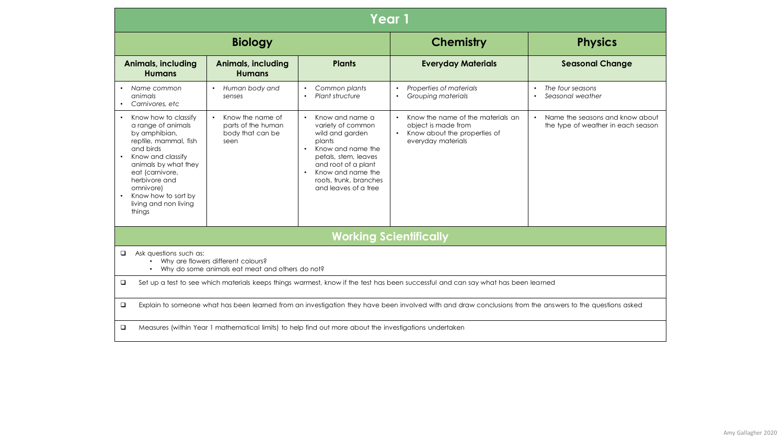| Year 1                                                                                                                                                                                                                                                    |                                                                                 |                                                                                                                                                                                                                                        |                                                                                                                                          |                                                                       |  |  |  |
|-----------------------------------------------------------------------------------------------------------------------------------------------------------------------------------------------------------------------------------------------------------|---------------------------------------------------------------------------------|----------------------------------------------------------------------------------------------------------------------------------------------------------------------------------------------------------------------------------------|------------------------------------------------------------------------------------------------------------------------------------------|-----------------------------------------------------------------------|--|--|--|
|                                                                                                                                                                                                                                                           | <b>Biology</b>                                                                  |                                                                                                                                                                                                                                        | <b>Chemistry</b>                                                                                                                         | <b>Physics</b>                                                        |  |  |  |
| <b>Animals, including</b><br><b>Humans</b>                                                                                                                                                                                                                | <b>Animals, including</b><br><b>Humans</b>                                      | <b>Plants</b>                                                                                                                                                                                                                          | <b>Everyday Materials</b>                                                                                                                | <b>Seasonal Change</b>                                                |  |  |  |
| Name common<br>animals<br>Carnivores, etc                                                                                                                                                                                                                 | Human body and<br>senses                                                        | Common plants<br>Plant structure                                                                                                                                                                                                       | Properties of materials<br>$\bullet$<br>Grouping materials<br>$\bullet$                                                                  | The four seasons<br>Seasonal weather                                  |  |  |  |
| Know how to classify<br>a range of animals<br>by amphibian,<br>reptile, mammal, fish<br>and birds<br>Know and classify<br>animals by what they<br>eat (carnivore,<br>herbivore and<br>omnivore)<br>Know how to sort by<br>living and non living<br>things | Know the name of<br>$\bullet$<br>parts of the human<br>body that can be<br>seen | Know and name a<br>$\bullet$<br>variety of common<br>wild and garden<br>plants<br>Know and name the<br>$\bullet$<br>petals, stem, leaves<br>and root of a plant<br>Know and name the<br>roots, trunk, branches<br>and leaves of a tree | Know the name of the materials an<br>$\bullet$<br>object is made from<br>Know about the properties of<br>$\bullet$<br>everyday materials | Name the seasons and know about<br>the type of weather in each season |  |  |  |
|                                                                                                                                                                                                                                                           |                                                                                 |                                                                                                                                                                                                                                        | <b>Working Scientifically</b>                                                                                                            |                                                                       |  |  |  |
| Ask questions such as:<br>$\Box$<br>Why are flowers different colours?<br>Why do some animals eat meat and others do not?                                                                                                                                 |                                                                                 |                                                                                                                                                                                                                                        |                                                                                                                                          |                                                                       |  |  |  |
| Set up a test to see which materials keeps things warmest, know if the test has been successful and can say what has been learned<br>$\Box$                                                                                                               |                                                                                 |                                                                                                                                                                                                                                        |                                                                                                                                          |                                                                       |  |  |  |
| $\Box$<br>Explain to someone what has been learned from an investigation they have been involved with and draw conclusions from the answers to the questions asked                                                                                        |                                                                                 |                                                                                                                                                                                                                                        |                                                                                                                                          |                                                                       |  |  |  |
| Measures (within Year 1 mathematical limits) to help find out more about the investigations undertaken<br>$\Box$                                                                                                                                          |                                                                                 |                                                                                                                                                                                                                                        |                                                                                                                                          |                                                                       |  |  |  |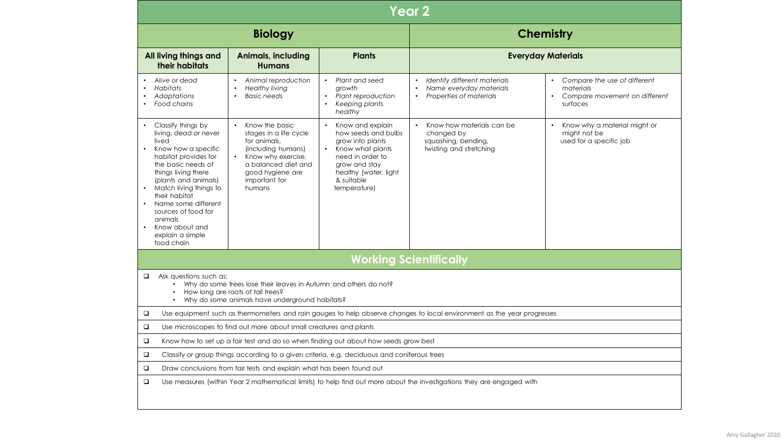| Year <sub>2</sub>                                                                                                                                                                                                                                                                                                                                          |                                                                                                                                                                            |                                                                                                                                                                                          |                                                                                                                        |                                                                                          |  |  |  |
|------------------------------------------------------------------------------------------------------------------------------------------------------------------------------------------------------------------------------------------------------------------------------------------------------------------------------------------------------------|----------------------------------------------------------------------------------------------------------------------------------------------------------------------------|------------------------------------------------------------------------------------------------------------------------------------------------------------------------------------------|------------------------------------------------------------------------------------------------------------------------|------------------------------------------------------------------------------------------|--|--|--|
|                                                                                                                                                                                                                                                                                                                                                            | <b>Biology</b>                                                                                                                                                             |                                                                                                                                                                                          | <b>Chemistry</b>                                                                                                       |                                                                                          |  |  |  |
| All living things and<br>their habitats                                                                                                                                                                                                                                                                                                                    | <b>Animals, including</b><br><b>Humans</b>                                                                                                                                 | <b>Plants</b>                                                                                                                                                                            |                                                                                                                        | <b>Everyday Materials</b>                                                                |  |  |  |
| Alive or dead<br><b>Habitats</b><br>Adaptations<br>Food chains                                                                                                                                                                                                                                                                                             | Animal reproduction<br>$\bullet$<br><b>Healthy living</b><br><b>Basic needs</b><br>$\bullet$                                                                               | Plant and seed<br>$\bullet$<br>growth<br>Plant reproduction<br>$\bullet$<br>Keeping plants<br>healthy                                                                                    | Identify different materials<br>$\bullet$<br>Name everyday materials<br>Properties of materials<br>$\bullet$           | Compare the use of different<br>materials<br>• Compare movement on different<br>surfaces |  |  |  |
| Classify things by<br>living, dead or never<br>lived<br>Know how a specific<br>$\bullet$<br>habitat provides for<br>the basic needs of<br>things living there<br>(plants and animals)<br>Match living things to<br>their habitat<br>Name some different<br>$\bullet$<br>sources of food for<br>animals<br>Know about and<br>explain a simple<br>food chain | Know the basic<br>stages in a life cycle<br>for animals,<br>(including humans)<br>Know why exercise,<br>a balanced diet and<br>good hygiene are<br>important for<br>humans | Know and explain<br>$\bullet$<br>how seeds and bulbs<br>grow into plants<br>Know what plants<br>need in order to<br>grow and stay<br>healthy (water, light<br>& suitable<br>temperature) | Know how materials can be<br>$\bullet$<br>changed by<br>squashing, bending,<br>twisting and stretching                 | Know why a material might or<br>might not be<br>used for a specific job                  |  |  |  |
| <b>Working Scientifically</b>                                                                                                                                                                                                                                                                                                                              |                                                                                                                                                                            |                                                                                                                                                                                          |                                                                                                                        |                                                                                          |  |  |  |
| Ask questions such as:<br>$\Box$<br>Why do some trees lose their leaves in Autumn and others do not?<br>How long are roots of tall trees?<br>Why do some animals have underground habitats?                                                                                                                                                                |                                                                                                                                                                            |                                                                                                                                                                                          |                                                                                                                        |                                                                                          |  |  |  |
| $\Box$                                                                                                                                                                                                                                                                                                                                                     |                                                                                                                                                                            |                                                                                                                                                                                          | Use equipment such as thermometers and rain gauges to help observe changes to local environment as the year progresses |                                                                                          |  |  |  |
| $\Box$<br>Use microscopes to find out more about small creatures and plants                                                                                                                                                                                                                                                                                |                                                                                                                                                                            |                                                                                                                                                                                          |                                                                                                                        |                                                                                          |  |  |  |
| $\Box$<br>Know how to set up a fair test and do so when finding out about how seeds grow best                                                                                                                                                                                                                                                              |                                                                                                                                                                            |                                                                                                                                                                                          |                                                                                                                        |                                                                                          |  |  |  |
| $\Box$<br>Classify or group things according to a given criteria, e.g. deciduous and coniferous trees                                                                                                                                                                                                                                                      |                                                                                                                                                                            |                                                                                                                                                                                          |                                                                                                                        |                                                                                          |  |  |  |
| $\Box$<br>Draw conclusions from fair tests and explain what has been found out                                                                                                                                                                                                                                                                             |                                                                                                                                                                            |                                                                                                                                                                                          |                                                                                                                        |                                                                                          |  |  |  |
| $\Box$<br>Use measures (within Year 2 mathematical limits) to help find out more about the investigations they are engaged with                                                                                                                                                                                                                            |                                                                                                                                                                            |                                                                                                                                                                                          |                                                                                                                        |                                                                                          |  |  |  |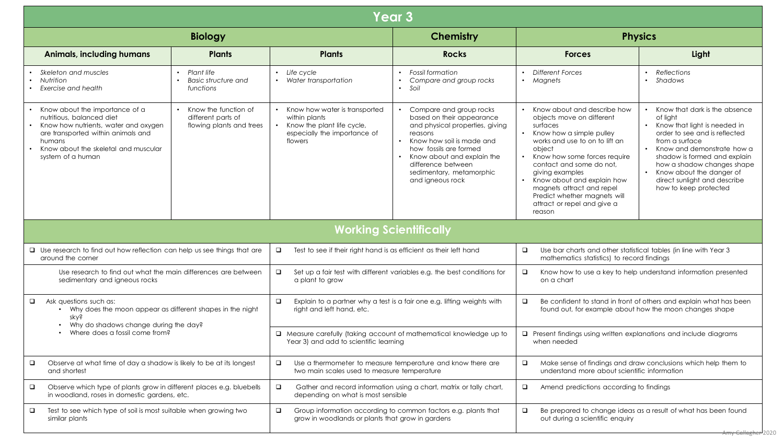| <b>Year 3</b>                                                                                                                                                                                                          |                                                                          |                                                                                                                             |                                                                                                                                                                                                                                                               |                                                                                                                                                                                                                                                                                                                                                                 |                                                                                                                                                                                                                                                                                                                       |  |
|------------------------------------------------------------------------------------------------------------------------------------------------------------------------------------------------------------------------|--------------------------------------------------------------------------|-----------------------------------------------------------------------------------------------------------------------------|---------------------------------------------------------------------------------------------------------------------------------------------------------------------------------------------------------------------------------------------------------------|-----------------------------------------------------------------------------------------------------------------------------------------------------------------------------------------------------------------------------------------------------------------------------------------------------------------------------------------------------------------|-----------------------------------------------------------------------------------------------------------------------------------------------------------------------------------------------------------------------------------------------------------------------------------------------------------------------|--|
|                                                                                                                                                                                                                        | <b>Biology</b>                                                           |                                                                                                                             | <b>Chemistry</b>                                                                                                                                                                                                                                              | <b>Physics</b>                                                                                                                                                                                                                                                                                                                                                  |                                                                                                                                                                                                                                                                                                                       |  |
| <b>Animals, including humans</b>                                                                                                                                                                                       | <b>Plants</b>                                                            | <b>Plants</b>                                                                                                               | <b>Rocks</b>                                                                                                                                                                                                                                                  | <b>Forces</b>                                                                                                                                                                                                                                                                                                                                                   | Light                                                                                                                                                                                                                                                                                                                 |  |
| Skeleton and muscles<br>• Nutrition<br>Exercise and health                                                                                                                                                             | Plant life<br>$\bullet$<br>Basic structure and<br>functions              | • Life cycle<br>• Water transportation                                                                                      | <b>Fossil formation</b><br>Compare and group rocks<br>Soil                                                                                                                                                                                                    | <b>Different Forces</b><br>• Magnets                                                                                                                                                                                                                                                                                                                            | • Reflections<br>· Shadows                                                                                                                                                                                                                                                                                            |  |
| • Know about the importance of a<br>nutritious, balanced diet<br>• Know how nutrients, water and oxygen<br>are transported within animals and<br>humans<br>• Know about the skeletal and muscular<br>system of a human | • Know the function of<br>different parts of<br>flowing plants and trees | • Know how water is transported<br>within plants<br>• Know the plant life cycle,<br>especially the importance of<br>flowers | Compare and group rocks<br>based on their appearance<br>and physical properties, giving<br>reasons<br>Know how soil is made and<br>how fossils are formed<br>Know about and explain the<br>difference between<br>sedimentary, metamorphic<br>and igneous rock | Know about and describe how<br>objects move on different<br>surfaces<br>Know how a simple pulley<br>works and use to on to lift an<br>object<br>Know how some forces require<br>contact and some do not,<br>giving examples<br>Know about and explain how<br>magnets attract and repel<br>Predict whether magnets will<br>attract or repel and give a<br>reason | • Know that dark is the absence<br>of light<br>• Know that light is needed in<br>order to see and is reflected<br>from a surface<br>• Know and demonstrate how a<br>shadow is formed and explain<br>how a shadow changes shape<br>• Know about the danger of<br>direct sunlight and describe<br>how to keep protected |  |
|                                                                                                                                                                                                                        |                                                                          |                                                                                                                             | <b>Working Scientifically</b>                                                                                                                                                                                                                                 |                                                                                                                                                                                                                                                                                                                                                                 |                                                                                                                                                                                                                                                                                                                       |  |
| $\Box$ Use research to find out how reflection can help us see things that are<br>around the corner                                                                                                                    |                                                                          | Test to see if their right hand is as efficient as their left hand<br>$\Box$                                                |                                                                                                                                                                                                                                                               | Use bar charts and other statistical tables (in line with Year 3<br>$\Box$<br>mathematics statistics) to record findings                                                                                                                                                                                                                                        |                                                                                                                                                                                                                                                                                                                       |  |
| Use research to find out what the main differences are between<br>$\Box$<br>sedimentary and igneous rocks<br>a plant to grow                                                                                           |                                                                          |                                                                                                                             | Set up a fair test with different variables e.g. the best conditions for                                                                                                                                                                                      | $\Box$<br>Know how to use a key to help understand information presented<br>on a chart                                                                                                                                                                                                                                                                          |                                                                                                                                                                                                                                                                                                                       |  |
| $\Box$<br>Ask questions such as:<br>• Why does the moon appear as different shapes in the night<br>sky?<br>• Why do shadows change during the day?                                                                     |                                                                          | $\Box$<br>Explain to a partner why a test is a fair one e.g. lifting weights with<br>right and left hand, etc.              |                                                                                                                                                                                                                                                               | Be confident to stand in front of others and explain what has been<br>$\Box$<br>found out, for example about how the moon changes shape                                                                                                                                                                                                                         |                                                                                                                                                                                                                                                                                                                       |  |
| Where does a fossil come from?                                                                                                                                                                                         |                                                                          | A Measure carefully (taking account of mathematical knowledge up to<br>Year 3) and add to scientific learning               |                                                                                                                                                                                                                                                               | Present findings using written explanations and include diagrams<br>o.<br>when needed                                                                                                                                                                                                                                                                           |                                                                                                                                                                                                                                                                                                                       |  |
| Observe at what time of day a shadow is likely to be at its longest<br>□<br>$\Box$<br>two main scales used to measure temperature<br>and shortest                                                                      |                                                                          |                                                                                                                             | Use a thermometer to measure temperature and know there are                                                                                                                                                                                                   | Make sense of findings and draw conclusions which help them to<br>❏<br>understand more about scientific information                                                                                                                                                                                                                                             |                                                                                                                                                                                                                                                                                                                       |  |
| Observe which type of plants grow in different places e.g. bluebells<br>$\Box$<br>$\Box$<br>in woodland, roses in domestic gardens, etc.<br>depending on what is most sensible                                         |                                                                          | Gather and record information using a chart, matrix or tally chart,                                                         | $\Box$<br>Amend predictions according to findings                                                                                                                                                                                                             |                                                                                                                                                                                                                                                                                                                                                                 |                                                                                                                                                                                                                                                                                                                       |  |
| Group information according to common factors e.g. plants that<br>Test to see which type of soil is most suitable when growing two<br>□<br>grow in woodlands or plants that grow in gardens<br>similar plants          |                                                                          |                                                                                                                             |                                                                                                                                                                                                                                                               | $\Box$<br>out during a scientific enquiry                                                                                                                                                                                                                                                                                                                       | Be prepared to change ideas as a result of what has been found<br><del>Amy Gallagher '</del> 2020                                                                                                                                                                                                                     |  |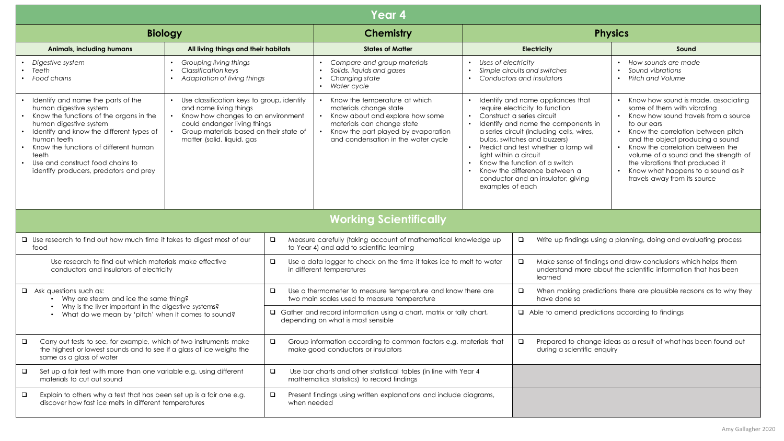| Year 4                                                                                                                                                                                                                                                                                                                           |                                                                                                                                                                                                                       |                                                                                                                                                                                                                                                          |                                                                                                                                                                                                                     |                                                                                              |                                                                                                                                                                                                                                                                                                                                                                        |                                                                                                                                                                                                                                                                                                                                                                                                            |  |  |
|----------------------------------------------------------------------------------------------------------------------------------------------------------------------------------------------------------------------------------------------------------------------------------------------------------------------------------|-----------------------------------------------------------------------------------------------------------------------------------------------------------------------------------------------------------------------|----------------------------------------------------------------------------------------------------------------------------------------------------------------------------------------------------------------------------------------------------------|---------------------------------------------------------------------------------------------------------------------------------------------------------------------------------------------------------------------|----------------------------------------------------------------------------------------------|------------------------------------------------------------------------------------------------------------------------------------------------------------------------------------------------------------------------------------------------------------------------------------------------------------------------------------------------------------------------|------------------------------------------------------------------------------------------------------------------------------------------------------------------------------------------------------------------------------------------------------------------------------------------------------------------------------------------------------------------------------------------------------------|--|--|
| <b>Biology</b>                                                                                                                                                                                                                                                                                                                   |                                                                                                                                                                                                                       |                                                                                                                                                                                                                                                          | Chemistry                                                                                                                                                                                                           |                                                                                              | <b>Physics</b>                                                                                                                                                                                                                                                                                                                                                         |                                                                                                                                                                                                                                                                                                                                                                                                            |  |  |
| <b>Animals, including humans</b>                                                                                                                                                                                                                                                                                                 | All living things and their habitats                                                                                                                                                                                  |                                                                                                                                                                                                                                                          | <b>States of Matter</b>                                                                                                                                                                                             | <b>Electricity</b>                                                                           |                                                                                                                                                                                                                                                                                                                                                                        | Sound                                                                                                                                                                                                                                                                                                                                                                                                      |  |  |
| Digestive system<br>Teeth<br>• Food chains                                                                                                                                                                                                                                                                                       | Grouping living things<br>$\bullet$<br><b>Classification keys</b><br>• Adaptation of living things                                                                                                                    |                                                                                                                                                                                                                                                          | $\bullet$<br>Compare and group materials<br>Solids, liquids and gases<br>Changing state<br>• Water cycle                                                                                                            | Uses of electricity<br>$\bullet$<br>$\bullet$                                                | Simple circuits and switches<br>Conductors and insulators                                                                                                                                                                                                                                                                                                              | • How sounds are made<br>Sound vibrations<br>$\bullet$<br>• Pitch and Volume                                                                                                                                                                                                                                                                                                                               |  |  |
| Identify and name the parts of the<br>human digestive system<br>• Know the functions of the organs in the<br>human digestive system<br>Identify and know the different types of<br>human teeth<br>Know the functions of different human<br>teeth<br>• Use and construct food chains to<br>identify producers, predators and prey | • Use classification keys to group, identify<br>and name living things<br>Know how changes to an environment<br>could endanger living things<br>Group materials based on their state of<br>matter (solid, liquid, gas |                                                                                                                                                                                                                                                          | Know the temperature at which<br>materials change state<br>Know about and explore how some<br>$\bullet$<br>materials can change state<br>Know the part played by evaporation<br>and condensation in the water cycle | $\bullet$<br>light within a circuit<br>$\bullet$<br>examples of each                         | Identify and name appliances that<br>require electricity to function<br>Construct a series circuit<br>Identify and name the components in<br>a series circuit (including cells, wires,<br>bulbs, switches and buzzers)<br>Predict and test whether a lamp will<br>Know the function of a switch<br>Know the difference between a<br>conductor and an insulator; giving | Know how sound is made, associating<br>some of them with vibrating<br>Know how sound travels from a source<br>$\bullet$<br>to our ears<br>• Know the correlation between pitch<br>and the object producing a sound<br>Know the correlation between the<br>volume of a sound and the strength of<br>the vibrations that produced it<br>• Know what happens to a sound as it<br>travels away from its source |  |  |
| <b>Working Scientifically</b>                                                                                                                                                                                                                                                                                                    |                                                                                                                                                                                                                       |                                                                                                                                                                                                                                                          |                                                                                                                                                                                                                     |                                                                                              |                                                                                                                                                                                                                                                                                                                                                                        |                                                                                                                                                                                                                                                                                                                                                                                                            |  |  |
| □ Use research to find out how much time it takes to digest most of our<br>$\Box$<br>food                                                                                                                                                                                                                                        |                                                                                                                                                                                                                       | Measure carefully (taking account of mathematical knowledge up<br>to Year 4) and add to scientific learning                                                                                                                                              |                                                                                                                                                                                                                     | $\Box$                                                                                       | Write up findings using a planning, doing and evaluating process                                                                                                                                                                                                                                                                                                       |                                                                                                                                                                                                                                                                                                                                                                                                            |  |  |
| Use research to find out which materials make effective<br>$\Box$<br>conductors and insulators of electricity                                                                                                                                                                                                                    |                                                                                                                                                                                                                       | Make sense of findings and draw conclusions which helps them<br>Use a data logger to check on the time it takes ice to melt to water<br>$\Box$<br>understand more about the scientific information that has been<br>in different temperatures<br>learned |                                                                                                                                                                                                                     |                                                                                              |                                                                                                                                                                                                                                                                                                                                                                        |                                                                                                                                                                                                                                                                                                                                                                                                            |  |  |
| $\Box$ Ask questions such as:<br>$\Box$<br>• Why are steam and ice the same thing?<br>• Why is the liver important in the digestive systems?<br>• What do we mean by 'pitch' when it comes to sound?                                                                                                                             |                                                                                                                                                                                                                       | Use a thermometer to measure temperature and know there are<br>two main scales used to measure temperature                                                                                                                                               |                                                                                                                                                                                                                     | $\Box$<br>When making predictions there are plausible reasons as to why they<br>have done so |                                                                                                                                                                                                                                                                                                                                                                        |                                                                                                                                                                                                                                                                                                                                                                                                            |  |  |
|                                                                                                                                                                                                                                                                                                                                  |                                                                                                                                                                                                                       |                                                                                                                                                                                                                                                          | <b>Q</b> Gather and record information using a chart, matrix or tally chart,<br>depending on what is most sensible                                                                                                  |                                                                                              | $\Box$ Able to amend predictions according to findings                                                                                                                                                                                                                                                                                                                 |                                                                                                                                                                                                                                                                                                                                                                                                            |  |  |
| $\Box$<br>Carry out tests to see, for example, which of two instruments make<br>$\Box$<br>the highest or lowest sounds and to see if a glass of ice weighs the<br>same as a glass of water                                                                                                                                       |                                                                                                                                                                                                                       | Group information according to common factors e.g. materials that<br>make good conductors or insulators                                                                                                                                                  |                                                                                                                                                                                                                     | $\Box$<br>during a scientific enquiry                                                        | Prepared to change ideas as a result of what has been found out                                                                                                                                                                                                                                                                                                        |                                                                                                                                                                                                                                                                                                                                                                                                            |  |  |
| Set up a fair test with more than one variable e.g. using different<br>$\Box$<br>$\Box$<br>materials to cut out sound                                                                                                                                                                                                            |                                                                                                                                                                                                                       | Use bar charts and other statistical tables (in line with Year 4<br>mathematics statistics) to record findings                                                                                                                                           |                                                                                                                                                                                                                     |                                                                                              |                                                                                                                                                                                                                                                                                                                                                                        |                                                                                                                                                                                                                                                                                                                                                                                                            |  |  |
| Explain to others why a test that has been set up is a fair one e.g.<br>$\Box$<br>$\Box$<br>discover how fast ice melts in different temperatures<br>when needed                                                                                                                                                                 |                                                                                                                                                                                                                       | Present findings using written explanations and include diagrams,                                                                                                                                                                                        |                                                                                                                                                                                                                     |                                                                                              |                                                                                                                                                                                                                                                                                                                                                                        |                                                                                                                                                                                                                                                                                                                                                                                                            |  |  |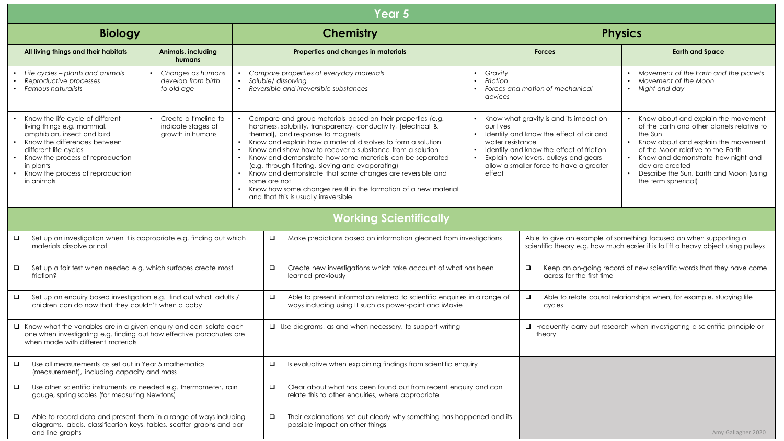| Year 5                                                                                                                                                                                                                                                                                        |                                                                  |                                                                                                                          |                                                                                                                                                                                                                                                                                                                                                                                                                                                                                                                                                                                                           |                                                                                                            |                                                                                                                                                                                                                   |                                                                                                                                                                                                                                                                                                       |  |
|-----------------------------------------------------------------------------------------------------------------------------------------------------------------------------------------------------------------------------------------------------------------------------------------------|------------------------------------------------------------------|--------------------------------------------------------------------------------------------------------------------------|-----------------------------------------------------------------------------------------------------------------------------------------------------------------------------------------------------------------------------------------------------------------------------------------------------------------------------------------------------------------------------------------------------------------------------------------------------------------------------------------------------------------------------------------------------------------------------------------------------------|------------------------------------------------------------------------------------------------------------|-------------------------------------------------------------------------------------------------------------------------------------------------------------------------------------------------------------------|-------------------------------------------------------------------------------------------------------------------------------------------------------------------------------------------------------------------------------------------------------------------------------------------------------|--|
| <b>Biology</b>                                                                                                                                                                                                                                                                                |                                                                  |                                                                                                                          | <b>Chemistry</b>                                                                                                                                                                                                                                                                                                                                                                                                                                                                                                                                                                                          | <b>Physics</b>                                                                                             |                                                                                                                                                                                                                   |                                                                                                                                                                                                                                                                                                       |  |
| All living things and their habitats                                                                                                                                                                                                                                                          | Animals, including<br>humans                                     | Properties and changes in materials                                                                                      |                                                                                                                                                                                                                                                                                                                                                                                                                                                                                                                                                                                                           |                                                                                                            | <b>Forces</b>                                                                                                                                                                                                     | <b>Earth and Space</b>                                                                                                                                                                                                                                                                                |  |
| Life cycles – plants and animals<br>Reproductive processes<br>Famous naturalists                                                                                                                                                                                                              | • Changes as humans<br>develop from birth<br>to old age          | Compare properties of everyday materials<br>Soluble/ dissolving<br>• Reversible and irreversible substances<br>$\bullet$ |                                                                                                                                                                                                                                                                                                                                                                                                                                                                                                                                                                                                           |                                                                                                            | Forces and motion of mechanical                                                                                                                                                                                   | Movement of the Earth and the planets<br>Movement of the Moon<br>$\bullet$<br>• Night and day                                                                                                                                                                                                         |  |
| Know the life cycle of different<br>living things e.g. mammal,<br>amphibian, insect and bird<br>Know the differences between<br>different life cycles<br>• Know the process of reproduction<br>in plants<br>Know the process of reproduction<br>in animals                                    | • Create a timeline to<br>indicate stages of<br>growth in humans | $\bullet$<br>$\bullet$                                                                                                   | Compare and group materials based on their properties (e.g.<br>hardness, solubility, transparency, conductivity, [electrical &<br>thermall, and response to magnets<br>Know and explain how a material dissolves to form a solution<br>Know and show how to recover a substance from a solution<br>Know and demonstrate how some materials can be separated<br>(e.g. through filtering, sieving and evaporating)<br>Know and demonstrate that some changes are reversible and<br>some are not<br>Know how some changes result in the formation of a new material<br>and that this is usually irreversible | our lives<br>water resistance<br>effect                                                                    | Know what gravity is and its impact on<br>Identify and know the effect of air and<br>Identify and know the effect of friction<br>Explain how levers, pulleys and gears<br>allow a smaller force to have a greater | Know about and explain the movement<br>of the Earth and other planets relative to<br>the Sun<br>Know about and explain the movement<br>of the Moon relative to the Earth<br>• Know and demonstrate how night and<br>day are created<br>Describe the Sun, Earth and Moon (using<br>the term spherical) |  |
| <b>Working Scientifically</b>                                                                                                                                                                                                                                                                 |                                                                  |                                                                                                                          |                                                                                                                                                                                                                                                                                                                                                                                                                                                                                                                                                                                                           |                                                                                                            |                                                                                                                                                                                                                   |                                                                                                                                                                                                                                                                                                       |  |
| Set up an investigation when it is appropriate e.g. finding out which<br>Make predictions based on information gleaned from investigations<br>$\Box$<br>$\Box$<br>materials dissolve or not                                                                                                   |                                                                  |                                                                                                                          |                                                                                                                                                                                                                                                                                                                                                                                                                                                                                                                                                                                                           |                                                                                                            |                                                                                                                                                                                                                   | Able to give an example of something focused on when supporting a<br>scientific theory e.g. how much easier it is to lift a heavy object using pulleys                                                                                                                                                |  |
| Set up a fair test when needed e.g. which surfaces create most<br>$\Box$<br>$\Box$<br>friction?                                                                                                                                                                                               |                                                                  |                                                                                                                          | Create new investigations which take account of what has been<br>learned previously                                                                                                                                                                                                                                                                                                                                                                                                                                                                                                                       | Keep an on-going record of new scientific words that they have come<br>$\Box$<br>across for the first time |                                                                                                                                                                                                                   |                                                                                                                                                                                                                                                                                                       |  |
| Set up an enquiry based investigation e.g. find out what adults /<br>$\Box$<br>Able to present information related to scientific enquiries in a range of<br>$\Box$<br>children can do now that they couldn't when a baby<br>ways including using IT such as power-point and iMovie            |                                                                  |                                                                                                                          |                                                                                                                                                                                                                                                                                                                                                                                                                                                                                                                                                                                                           |                                                                                                            | $\Box$<br>cycles                                                                                                                                                                                                  | Able to relate causal relationships when, for example, studying life                                                                                                                                                                                                                                  |  |
| $\Box$ Know what the variables are in a given enquiry and can isolate each<br>one when investigating e.g. finding out how effective parachutes are<br>when made with different materials                                                                                                      |                                                                  |                                                                                                                          | $\Box$ Use diagrams, as and when necessary, to support writing                                                                                                                                                                                                                                                                                                                                                                                                                                                                                                                                            |                                                                                                            | theory                                                                                                                                                                                                            | Frequently carry out research when investigating a scientific principle or                                                                                                                                                                                                                            |  |
| $\Box$<br>Use all measurements as set out in Year 5 mathematics<br>Is evaluative when explaining findings from scientific enquiry<br>$\Box$<br>(measurement), including capacity and mass                                                                                                     |                                                                  |                                                                                                                          |                                                                                                                                                                                                                                                                                                                                                                                                                                                                                                                                                                                                           |                                                                                                            |                                                                                                                                                                                                                   |                                                                                                                                                                                                                                                                                                       |  |
| $\Box$<br>Use other scientific instruments as needed e.g. thermometer, rain<br>$\Box$<br>Clear about what has been found out from recent enquiry and can<br>relate this to other enquiries, where appropriate<br>gauge, spring scales (for measuring Newtons)                                 |                                                                  |                                                                                                                          |                                                                                                                                                                                                                                                                                                                                                                                                                                                                                                                                                                                                           |                                                                                                            |                                                                                                                                                                                                                   |                                                                                                                                                                                                                                                                                                       |  |
| Able to record data and present them in a range of ways including<br>$\Box$<br>$\Box$<br>Their explanations set out clearly why something has happened and its<br>diagrams, labels, classification keys, tables, scatter graphs and bar<br>possible impact on other things<br>and line graphs |                                                                  |                                                                                                                          |                                                                                                                                                                                                                                                                                                                                                                                                                                                                                                                                                                                                           |                                                                                                            |                                                                                                                                                                                                                   | Amy Gallagher 2020                                                                                                                                                                                                                                                                                    |  |